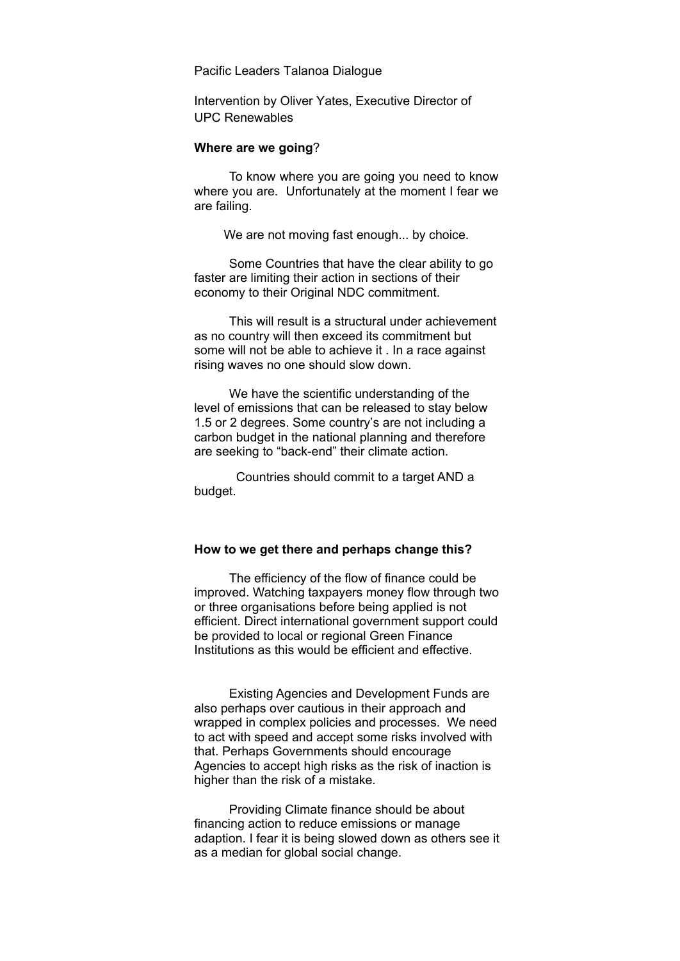Pacific Leaders Talanoa Dialogue

Intervention by Oliver Yates, Executive Director of UPC Renewables

## **Where are we going**?

To know where you are going you need to know where you are. Unfortunately at the moment I fear we are failing.

We are not moving fast enough... by choice.

Some Countries that have the clear ability to go faster are limiting their action in sections of their economy to their Original NDC commitment.

This will result is a structural under achievement as no country will then exceed its commitment but some will not be able to achieve it . In a race against rising waves no one should slow down.

We have the scientific understanding of the level of emissions that can be released to stay below 1.5 or 2 degrees. Some country's are not including a carbon budget in the national planning and therefore are seeking to "back-end" their climate action.

 Countries should commit to a target AND a budget.

## **How to we get there and perhaps change this?**

The efficiency of the flow of finance could be improved. Watching taxpayers money flow through two or three organisations before being applied is not efficient. Direct international government support could be provided to local or regional Green Finance Institutions as this would be efficient and effective.

Existing Agencies and Development Funds are also perhaps over cautious in their approach and wrapped in complex policies and processes. We need to act with speed and accept some risks involved with that. Perhaps Governments should encourage Agencies to accept high risks as the risk of inaction is higher than the risk of a mistake.

Providing Climate finance should be about financing action to reduce emissions or manage adaption. I fear it is being slowed down as others see it as a median for global social change.